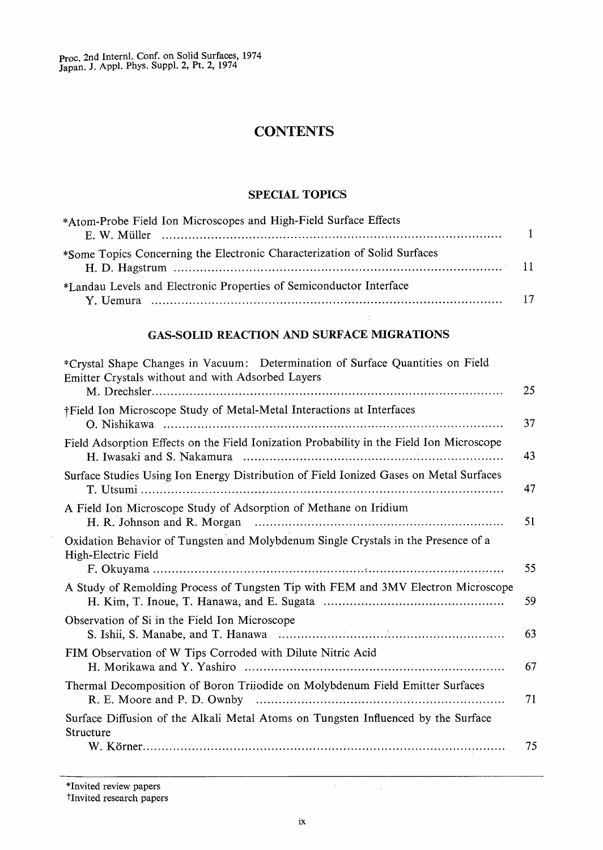# **CONTENTS**

### SPECIAL TOPICS

| *Atom-Probe Field Ion Microscopes and High-Field Surface Effects          |  |
|---------------------------------------------------------------------------|--|
| *Some Topics Concerning the Electronic Characterization of Solid Surfaces |  |
| *Landau Levels and Electronic Properties of Semiconductor Interface       |  |

## GAS-SOLID REACTION AND SURFACE MIGRATIONS

| *Crystal Shape Changes in Vacuum: Determination of Surface Quantities on Field<br>Emitter Crystals without and with Adsorbed Layers | 25 |
|-------------------------------------------------------------------------------------------------------------------------------------|----|
| †Field Ion Microscope Study of Metal-Metal Interactions at Interfaces                                                               | 37 |
| Field Adsorption Effects on the Field Ionization Probability in the Field Ion Microscope<br>H. Iwasaki and S. Nakamura              | 43 |
| Surface Studies Using Ion Energy Distribution of Field Ionized Gases on Metal Surfaces                                              | 47 |
| A Field Ion Microscope Study of Adsorption of Methane on Iridium                                                                    | 51 |
| Oxidation Behavior of Tungsten and Molybdenum Single Crystals in the Presence of a<br>High-Electric Field                           | 55 |
| A Study of Remolding Process of Tungsten Tip with FEM and 3MV Electron Microscope                                                   | 59 |
| Observation of Si in the Field Ion Microscope                                                                                       | 63 |
| FIM Observation of W Tips Corroded with Dilute Nitric Acid                                                                          | 67 |
| Thermal Decomposition of Boron Trijodide on Molybdenum Field Emitter Surfaces<br>R. E. Moore and P. D. Ownby                        | 71 |
| Surface Diffusion of the Alkali Metal Atoms on Tungsten Influenced by the Surface<br>Structure                                      |    |
|                                                                                                                                     | 75 |

\*Invited review papers

### tInvited research papers

 $\sim$ 

 $\mathcal{L}$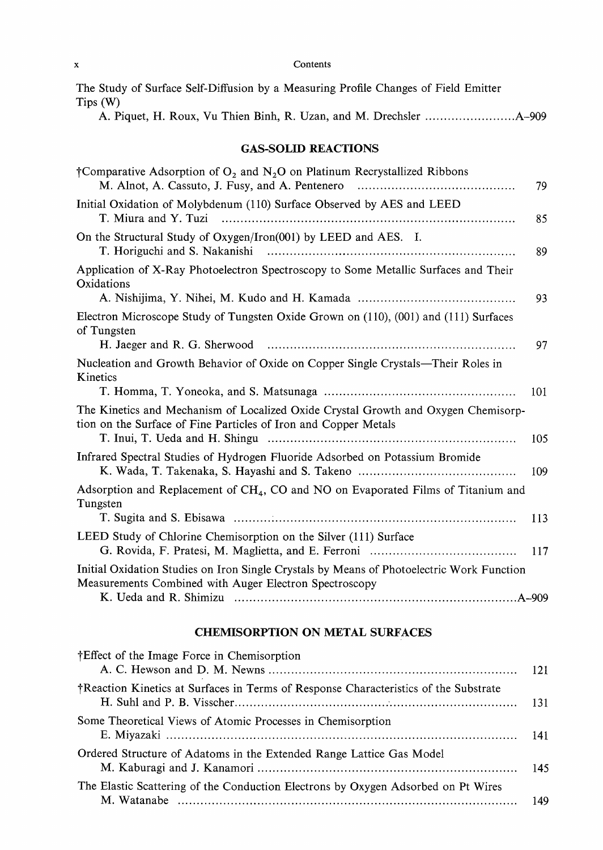|         |  |  |  |  | The Study of Surface Self-Diffusion by a Measuring Profile Changes of Field Emitter |  |  |
|---------|--|--|--|--|-------------------------------------------------------------------------------------|--|--|
| Tips(W) |  |  |  |  |                                                                                     |  |  |
|         |  |  |  |  |                                                                                     |  |  |

## GAS-SOLID REACTIONS

| †Comparative Adsorption of $O_2$ and $N_2O$ on Platinum Recrystallized Ribbons                                                                        | 79  |
|-------------------------------------------------------------------------------------------------------------------------------------------------------|-----|
| Initial Oxidation of Molybdenum (110) Surface Observed by AES and LEED<br>T. Miura and Y. Tuzi                                                        | 85  |
| On the Structural Study of Oxygen/Iron(001) by LEED and AES. I.<br>T. Horiguchi and S. Nakanishi                                                      | 89  |
| Application of X-Ray Photoelectron Spectroscopy to Some Metallic Surfaces and Their<br>Oxidations                                                     |     |
|                                                                                                                                                       | 93  |
| Electron Microscope Study of Tungsten Oxide Grown on (110), (001) and (111) Surfaces<br>of Tungsten                                                   |     |
|                                                                                                                                                       | 97  |
| Nucleation and Growth Behavior of Oxide on Copper Single Crystals—Their Roles in<br>Kinetics                                                          |     |
|                                                                                                                                                       | 101 |
| The Kinetics and Mechanism of Localized Oxide Crystal Growth and Oxygen Chemisorp-<br>tion on the Surface of Fine Particles of Iron and Copper Metals |     |
| T. Inui, T. Ueda and H. Shingu                                                                                                                        | 105 |
| Infrared Spectral Studies of Hydrogen Fluoride Adsorbed on Potassium Bromide                                                                          | 109 |
| Adsorption and Replacement of CH <sub>4</sub> , CO and NO on Evaporated Films of Titanium and<br>Tungsten                                             |     |
|                                                                                                                                                       | 113 |
| LEED Study of Chlorine Chemisorption on the Silver (111) Surface                                                                                      | 117 |
| Initial Oxidation Studies on Iron Single Crystals by Means of Photoelectric Work Function<br>Measurements Combined with Auger Electron Spectroscopy   |     |
|                                                                                                                                                       |     |

## CHEMISORPTION ON METAL SURFACES

| †Effect of the Image Force in Chemisorption                                          |  |
|--------------------------------------------------------------------------------------|--|
| †Reaction Kinetics at Surfaces in Terms of Response Characteristics of the Substrate |  |
| Some Theoretical Views of Atomic Processes in Chemisorption                          |  |
| Ordered Structure of Adatoms in the Extended Range Lattice Gas Model                 |  |
| The Elastic Scattering of the Conduction Electrons by Oxygen Adsorbed on Pt Wires    |  |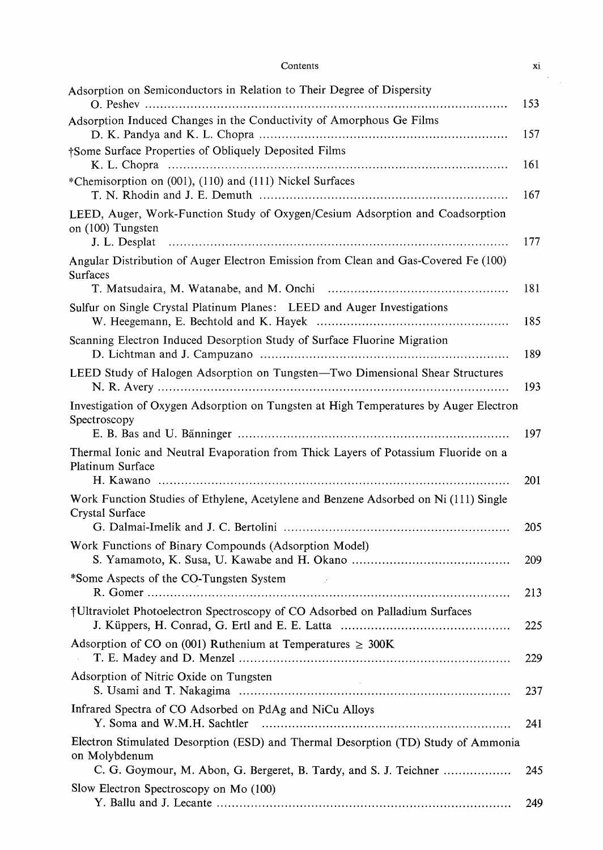| Contents                                                                                                            | Xi  |
|---------------------------------------------------------------------------------------------------------------------|-----|
| Adsorption on Semiconductors in Relation to Their Degree of Dispersity                                              |     |
| Adsorption Induced Changes in the Conductivity of Amorphous Ge Films                                                | 153 |
|                                                                                                                     | 157 |
| †Some Surface Properties of Obliquely Deposited Films                                                               | 161 |
| *Chemisorption on (001), (110) and (111) Nickel Surfaces                                                            | 167 |
| LEED, Auger, Work-Function Study of Oxygen/Cesium Adsorption and Coadsorption<br>on (100) Tungsten<br>J. L. Desplat | 177 |
| Angular Distribution of Auger Electron Emission from Clean and Gas-Covered Fe (100)<br>Surfaces                     | 181 |
| Sulfur on Single Crystal Platinum Planes: LEED and Auger Investigations                                             | 185 |
| Scanning Electron Induced Desorption Study of Surface Fluorine Migration                                            | 189 |
| LEED Study of Halogen Adsorption on Tungsten-Two Dimensional Shear Structures                                       | 193 |
| Investigation of Oxygen Adsorption on Tungsten at High Temperatures by Auger Electron<br>Spectroscopy               | 197 |
| Thermal Ionic and Neutral Evaporation from Thick Layers of Potassium Fluoride on a<br>Platinum Surface              | 201 |
| Work Function Studies of Ethylene, Acetylene and Benzene Adsorbed on Ni (111) Single<br>Crystal Surface             | 205 |
| Work Functions of Binary Compounds (Adsorption Model)                                                               | 209 |
| *Some Aspects of the CO-Tungsten System                                                                             | 213 |
| †Ultraviolet Photoelectron Spectroscopy of CO Adsorbed on Palladium Surfaces                                        | 225 |
| Adsorption of CO on (001) Ruthenium at Temperatures $\geq 300$ K                                                    | 229 |
| Adsorption of Nitric Oxide on Tungsten                                                                              | 237 |
| Infrared Spectra of CO Adsorbed on PdAg and NiCu Alloys<br>Y. Soma and W.M.H. Sachtler                              | 241 |
| Electron Stimulated Desorption (ESD) and Thermal Desorption (TD) Study of Ammonia<br>on Molybdenum                  |     |
| C. G. Goymour, M. Abon, G. Bergeret, B. Tardy, and S. J. Teichner<br>Slow Electron Spectroscopy on Mo (100)         | 245 |
|                                                                                                                     | 249 |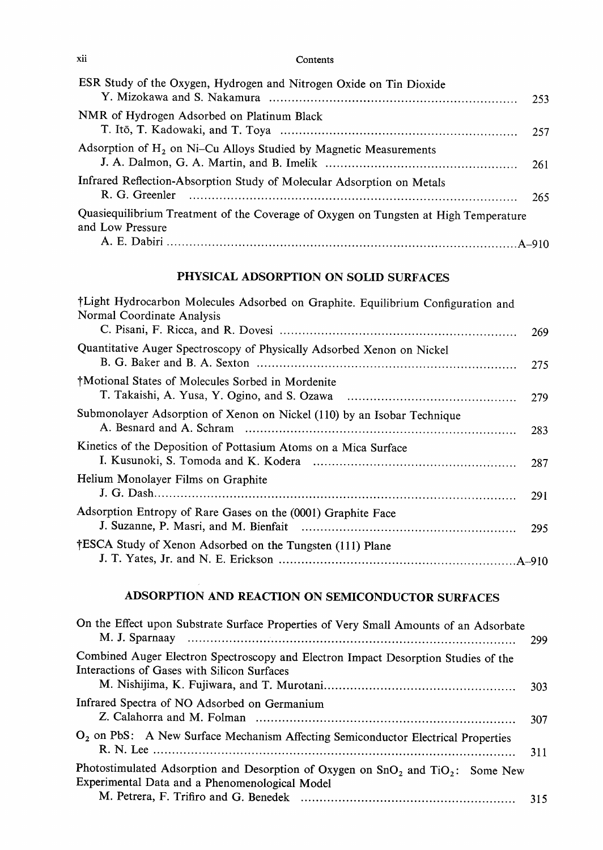| ESR Study of the Oxygen, Hydrogen and Nitrogen Oxide on Tin Dioxide                                      | 253 |
|----------------------------------------------------------------------------------------------------------|-----|
| NMR of Hydrogen Adsorbed on Platinum Black                                                               |     |
| Adsorption of $H_2$ on Ni–Cu Alloys Studied by Magnetic Measurements                                     | 261 |
| Infrared Reflection-Absorption Study of Molecular Adsorption on Metals                                   | 265 |
| Quasiequilibrium Treatment of the Coverage of Oxygen on Tungsten at High Temperature<br>and Low Pressure |     |
|                                                                                                          |     |

## PHYSICAL ADSORPTION ON SOLID SURFACES

| †Light Hydrocarbon Molecules Adsorbed on Graphite. Equilibrium Configuration and<br>Normal Coordinate Analysis | 269 |
|----------------------------------------------------------------------------------------------------------------|-----|
| Quantitative Auger Spectroscopy of Physically Adsorbed Xenon on Nickel                                         | 275 |
| †Motional States of Molecules Sorbed in Mordenite                                                              | 279 |
| Submonolayer Adsorption of Xenon on Nickel (110) by an Isobar Technique                                        | 283 |
| Kinetics of the Deposition of Pottasium Atoms on a Mica Surface                                                |     |
| Helium Monolayer Films on Graphite                                                                             | 291 |
| Adsorption Entropy of Rare Gases on the (0001) Graphite Face                                                   |     |
| †ESCA Study of Xenon Adsorbed on the Tungsten (111) Plane                                                      |     |

# ADSORPTION AND REACTION ON SEMICONDUCTOR SURFACES

| On the Effect upon Substrate Surface Properties of Very Small Amounts of an Adsorbate                                                 | 299  |
|---------------------------------------------------------------------------------------------------------------------------------------|------|
| Combined Auger Electron Spectroscopy and Electron Impact Desorption Studies of the<br>Interactions of Gases with Silicon Surfaces     | 303. |
| Infrared Spectra of NO Adsorbed on Germanium                                                                                          | 307  |
| $O_2$ on PbS: A New Surface Mechanism Affecting Semiconductor Electrical Properties                                                   | 311  |
| Photostimulated Adsorption and Desorption of Oxygen on $SnO2$ and $TiO2$ : Some New<br>Experimental Data and a Phenomenological Model |      |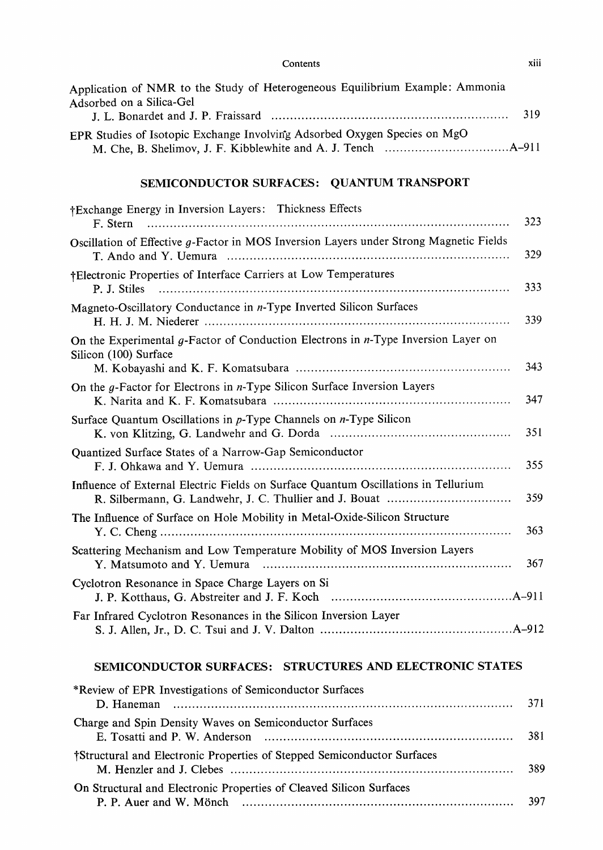| Application of NMR to the Study of Heterogeneous Equilibrium Example: Ammonia<br>Adsorbed on a Silica-Gel     | 319 |
|---------------------------------------------------------------------------------------------------------------|-----|
| EPR Studies of Isotopic Exchange Involving Adsorbed Oxygen Species on MgO                                     |     |
| SEMICONDUCTOR SURFACES: QUANTUM TRANSPORT                                                                     |     |
| †Exchange Energy in Inversion Layers: Thickness Effects<br>F. Stern                                           | 323 |
| Oscillation of Effective g-Factor in MOS Inversion Layers under Strong Magnetic Fields                        | 329 |
| †Electronic Properties of Interface Carriers at Low Temperatures<br>P. J. Stiles                              | 333 |
| Magneto-Oscillatory Conductance in n-Type Inverted Silicon Surfaces                                           | 339 |
| On the Experimental g-Factor of Conduction Electrons in $n$ -Type Inversion Layer on<br>Silicon (100) Surface | 343 |
| On the $g$ -Factor for Electrons in $n$ -Type Silicon Surface Inversion Layers                                | 347 |
| Surface Quantum Oscillations in $p$ -Type Channels on $n$ -Type Silicon                                       | 351 |
| Quantized Surface States of a Narrow-Gap Semiconductor                                                        | 355 |
| Influence of External Electric Fields on Surface Quantum Oscillations in Tellurium                            | 359 |
| The Influence of Surface on Hole Mobility in Metal-Oxide-Silicon Structure                                    | 363 |
| Scattering Mechanism and Low Temperature Mobility of MOS Inversion Layers                                     | 367 |
| Cyclotron Resonance in Space Charge Layers on Si                                                              |     |
| Far Infrared Cyclotron Resonances in the Silicon Inversion Layer                                              |     |
| SEMICONDUCTOR SURFACES: STRUCTURES AND ELECTRONIC STATES                                                      |     |
| *Review of EPR Investigations of Semiconductor Surfaces<br>D. Haneman                                         | 371 |
| Charge and Spin Density Waves on Semiconductor Surfaces<br>E. Tosatti and P. W. Anderson                      | 381 |
| †Structural and Electronic Properties of Stepped Semiconductor Surfaces                                       | 389 |

| On Structural and Electronic Properties of Cleaved Silicon Surfaces |     |
|---------------------------------------------------------------------|-----|
|                                                                     | 397 |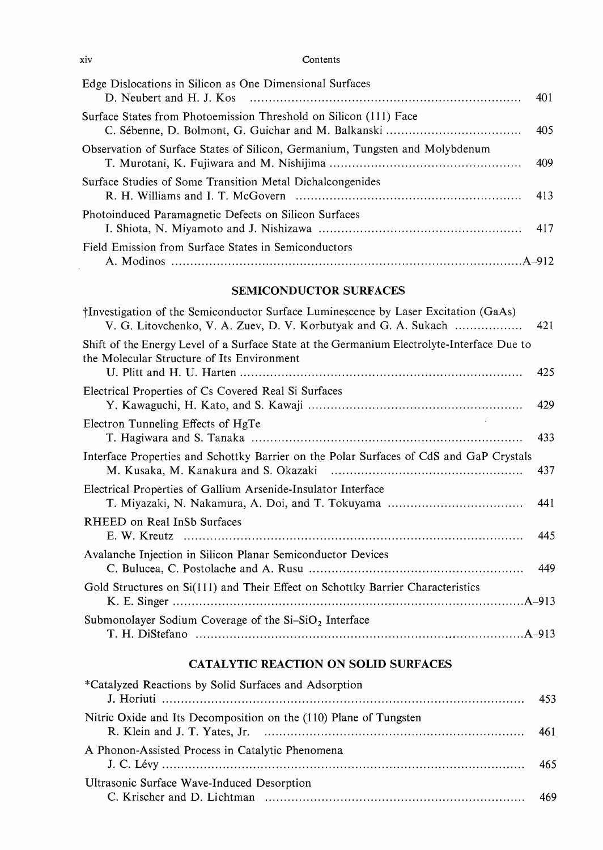| Edge Dislocations in Silicon as One Dimensional Surfaces<br>D. Neubert and H. J. Kos $\ldots$ $\ldots$ $\ldots$ $\ldots$ $\ldots$ $\ldots$ $\ldots$ $\ldots$ $\ldots$ $\ldots$ $\ldots$ $\ldots$ | 401 |
|--------------------------------------------------------------------------------------------------------------------------------------------------------------------------------------------------|-----|
| Surface States from Photoemission Threshold on Silicon (111) Face                                                                                                                                | 405 |
| Observation of Surface States of Silicon, Germanium, Tungsten and Molybdenum                                                                                                                     | 409 |
| Surface Studies of Some Transition Metal Dichalcongenides                                                                                                                                        | 413 |
| Photoinduced Paramagnetic Defects on Silicon Surfaces                                                                                                                                            |     |
| Field Emission from Surface States in Semiconductors                                                                                                                                             |     |

## SEMICONDUCTOR SURFACES

| †Investigation of the Semiconductor Surface Luminescence by Laser Excitation (GaAs)<br>V. G. Litovchenko, V. A. Zuev, D. V. Korbutyak and G. A. Sukach | 421 |
|--------------------------------------------------------------------------------------------------------------------------------------------------------|-----|
| Shift of the Energy Level of a Surface State at the Germanium Electrolyte-Interface Due to<br>the Molecular Structure of Its Environment               | 425 |
| Electrical Properties of Cs Covered Real Si Surfaces                                                                                                   | 429 |
| Electron Tunneling Effects of HgTe                                                                                                                     | 433 |
| Interface Properties and Schottky Barrier on the Polar Surfaces of CdS and GaP Crystals                                                                | 437 |
| Electrical Properties of Gallium Arsenide-Insulator Interface                                                                                          | 441 |
| RHEED on Real InSb Surfaces                                                                                                                            | 445 |
| Avalanche Injection in Silicon Planar Semiconductor Devices                                                                                            | 449 |
| Gold Structures on Si(111) and Their Effect on Schottky Barrier Characteristics                                                                        |     |
| Submonolayer Sodium Coverage of the $Si-SiO2$ Interface                                                                                                |     |

# CATALYTIC REACTION ON SOLID SURFACES

| *Catalyzed Reactions by Solid Surfaces and Adsorption             | 453 |
|-------------------------------------------------------------------|-----|
| Nitric Oxide and Its Decomposition on the (110) Plane of Tungsten | 461 |
| A Phonon-Assisted Process in Catalytic Phenomena                  | 465 |
| Ultrasonic Surface Wave-Induced Desorption                        |     |

xiv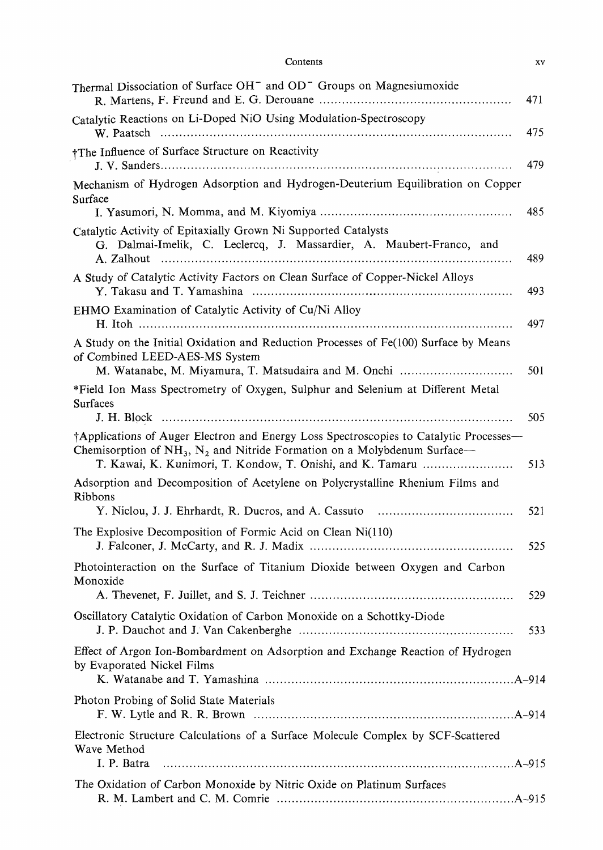| Contents |  |  |
|----------|--|--|
|          |  |  |

| Thermal Dissociation of Surface OH <sup>-</sup> and OD <sup>-</sup> Groups on Magnesiumoxide                                                                                                                                           | 471 |
|----------------------------------------------------------------------------------------------------------------------------------------------------------------------------------------------------------------------------------------|-----|
| Catalytic Reactions on Li-Doped NiO Using Modulation-Spectroscopy                                                                                                                                                                      | 475 |
| †The Influence of Surface Structure on Reactivity                                                                                                                                                                                      | 479 |
| Mechanism of Hydrogen Adsorption and Hydrogen-Deuterium Equilibration on Copper<br>Surface                                                                                                                                             | 485 |
| Catalytic Activity of Epitaxially Grown Ni Supported Catalysts<br>G. Dalmai-Imelik, C. Leclercq, J. Massardier, A. Maubert-Franco, and                                                                                                 | 489 |
| A Study of Catalytic Activity Factors on Clean Surface of Copper-Nickel Alloys                                                                                                                                                         | 493 |
| EHMO Examination of Catalytic Activity of Cu/Ni Alloy                                                                                                                                                                                  | 497 |
| A Study on the Initial Oxidation and Reduction Processes of Fe(100) Surface by Means<br>of Combined LEED-AES-MS System<br>M. Watanabe, M. Miyamura, T. Matsudaira and M. Onchi                                                         | 501 |
| *Field Ion Mass Spectrometry of Oxygen, Sulphur and Selenium at Different Metal<br>Surfaces                                                                                                                                            | 505 |
| †Applications of Auger Electron and Energy Loss Spectroscopies to Catalytic Processes—<br>Chemisorption of $NH_3$ , $N_2$ and Nitride Formation on a Molybdenum Surface—<br>T. Kawai, K. Kunimori, T. Kondow, T. Onishi, and K. Tamaru | 513 |
| Adsorption and Decomposition of Acetylene on Polycrystalline Rhenium Films and<br>Ribbons                                                                                                                                              | 521 |
| The Explosive Decomposition of Formic Acid on Clean Ni(110)                                                                                                                                                                            | 525 |
| Photointeraction on the Surface of Titanium Dioxide between Oxygen and Carbon<br>Monoxide                                                                                                                                              | 529 |
| Oscillatory Catalytic Oxidation of Carbon Monoxide on a Schottky-Diode                                                                                                                                                                 | 533 |
| Effect of Argon Ion-Bombardment on Adsorption and Exchange Reaction of Hydrogen<br>by Evaporated Nickel Films                                                                                                                          |     |
| Photon Probing of Solid State Materials                                                                                                                                                                                                |     |
| Electronic Structure Calculations of a Surface Molecule Complex by SCF-Scattered                                                                                                                                                       |     |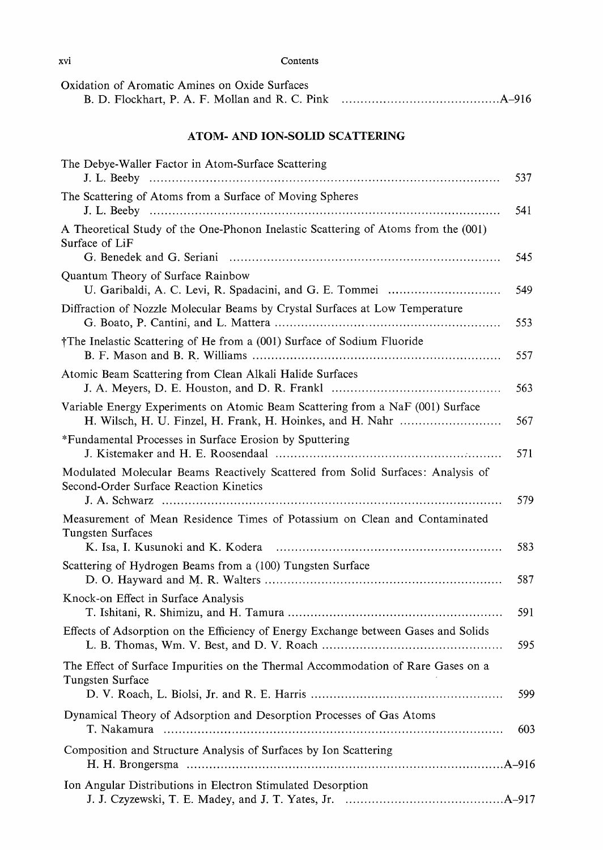| Oxidation of Aromatic Amines on Oxide Surfaces |  |
|------------------------------------------------|--|
|                                                |  |

## ATOM- AND ION-SOLID SCATTERING

| The Debye-Waller Factor in Atom-Surface Scattering                                                                        | 537 |
|---------------------------------------------------------------------------------------------------------------------------|-----|
| The Scattering of Atoms from a Surface of Moving Spheres                                                                  | 541 |
| A Theoretical Study of the One-Phonon Inelastic Scattering of Atoms from the (001)<br>Surface of LiF                      | 545 |
| Quantum Theory of Surface Rainbow                                                                                         | 549 |
| Diffraction of Nozzle Molecular Beams by Crystal Surfaces at Low Temperature                                              | 553 |
| †The Inelastic Scattering of He from a (001) Surface of Sodium Fluoride                                                   | 557 |
| Atomic Beam Scattering from Clean Alkali Halide Surfaces                                                                  | 563 |
| Variable Energy Experiments on Atomic Beam Scattering from a NaF (001) Surface                                            | 567 |
| *Fundamental Processes in Surface Erosion by Sputtering                                                                   | 571 |
| Modulated Molecular Beams Reactively Scattered from Solid Surfaces: Analysis of<br>Second-Order Surface Reaction Kinetics | 579 |
| Measurement of Mean Residence Times of Potassium on Clean and Contaminated<br>Tungsten Surfaces                           | 583 |
| Scattering of Hydrogen Beams from a (100) Tungsten Surface                                                                | 587 |
| Knock-on Effect in Surface Analysis                                                                                       | 591 |
| Effects of Adsorption on the Efficiency of Energy Exchange between Gases and Solids                                       | 595 |
| The Effect of Surface Impurities on the Thermal Accommodation of Rare Gases on a<br>Tungsten Surface                      | 599 |
| Dynamical Theory of Adsorption and Desorption Processes of Gas Atoms                                                      | 603 |
| Composition and Structure Analysis of Surfaces by Ion Scattering                                                          |     |
| Ion Angular Distributions in Electron Stimulated Desorption                                                               |     |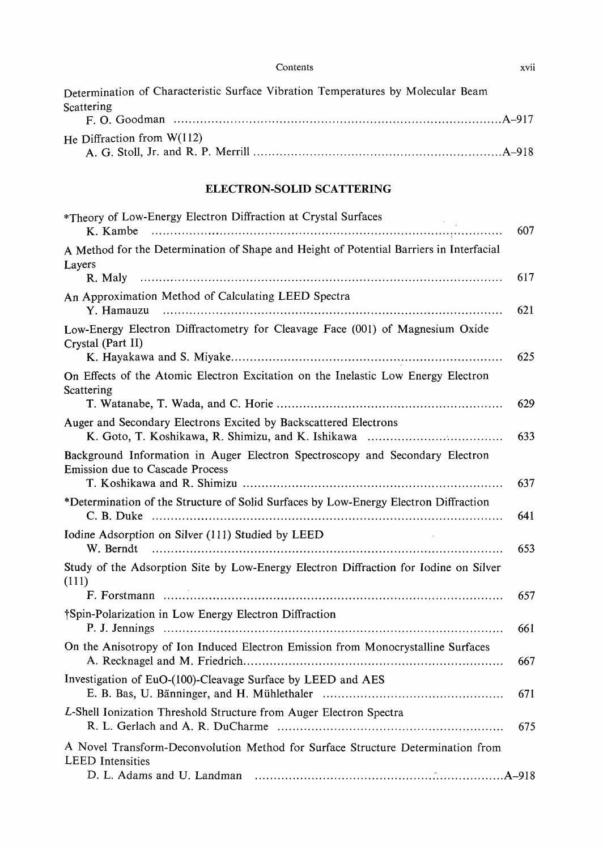| Determination of Characteristic Surface Vibration Temperatures by Molecular Beam |  |
|----------------------------------------------------------------------------------|--|
| Scattering                                                                       |  |
|                                                                                  |  |
| He Diffraction from $W(112)$                                                     |  |
|                                                                                  |  |

## ELECTRON-SOLID SCATTERING

| *Theory of Low-Energy Electron Diffraction at Crystal Surfaces<br>K. Kambe                                      | 607 |
|-----------------------------------------------------------------------------------------------------------------|-----|
| A Method for the Determination of Shape and Height of Potential Barriers in Interfacial<br>Layers               |     |
|                                                                                                                 | 617 |
| An Approximation Method of Calculating LEED Spectra<br>Y. Hamauzu                                               | 621 |
| Low-Energy Electron Diffractometry for Cleavage Face (001) of Magnesium Oxide<br>Crystal (Part II)              | 625 |
| On Effects of the Atomic Electron Excitation on the Inelastic Low Energy Electron<br>Scattering                 | 629 |
| Auger and Secondary Electrons Excited by Backscattered Electrons                                                | 633 |
| Background Information in Auger Electron Spectroscopy and Secondary Electron<br>Emission due to Cascade Process | 637 |
| *Determination of the Structure of Solid Surfaces by Low-Energy Electron Diffraction                            | 641 |
| Iodine Adsorption on Silver (111) Studied by LEED<br>W. Berndt                                                  | 653 |
| Study of the Adsorption Site by Low-Energy Electron Diffraction for Iodine on Silver<br>(111)                   |     |
|                                                                                                                 | 657 |
| †Spin-Polarization in Low Energy Electron Diffraction                                                           | 661 |
| On the Anisotropy of Ion Induced Electron Emission from Monocrystalline Surfaces                                | 667 |
| Investigation of EuO-(100)-Cleavage Surface by LEED and AES                                                     | 671 |
| L-Shell Ionization Threshold Structure from Auger Electron Spectra                                              | 675 |
| A Novel Transform-Deconvolution Method for Surface Structure Determination from<br><b>LEED</b> Intensities      |     |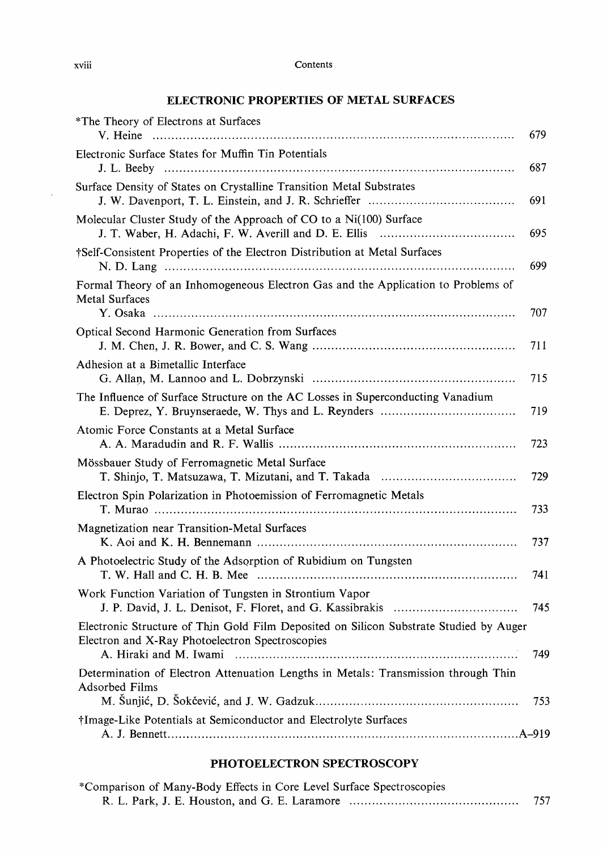# ELECTRONIC PROPERTIES OF METAL SURFACES

| *The Theory of Electrons at Surfaces                                                                                                                                | 679 |
|---------------------------------------------------------------------------------------------------------------------------------------------------------------------|-----|
| Electronic Surface States for Muffin Tin Potentials                                                                                                                 | 687 |
| Surface Density of States on Crystalline Transition Metal Substrates                                                                                                | 691 |
| Molecular Cluster Study of the Approach of CO to a Ni(100) Surface                                                                                                  | 695 |
| †Self-Consistent Properties of the Electron Distribution at Metal Surfaces                                                                                          | 699 |
| Formal Theory of an Inhomogeneous Electron Gas and the Application to Problems of<br><b>Metal Surfaces</b>                                                          | 707 |
| Optical Second Harmonic Generation from Surfaces                                                                                                                    | 711 |
| Adhesion at a Bimetallic Interface                                                                                                                                  | 715 |
| The Influence of Surface Structure on the AC Losses in Superconducting Vanadium                                                                                     | 719 |
| Atomic Force Constants at a Metal Surface                                                                                                                           | 723 |
| Mössbauer Study of Ferromagnetic Metal Surface                                                                                                                      | 729 |
| Electron Spin Polarization in Photoemission of Ferromagnetic Metals                                                                                                 | 733 |
| Magnetization near Transition-Metal Surfaces                                                                                                                        | 737 |
| A Photoelectric Study of the Adsorption of Rubidium on Tungsten                                                                                                     | 741 |
| Work Function Variation of Tungsten in Strontium Vapor                                                                                                              | 745 |
| Electronic Structure of Thin Gold Film Deposited on Silicon Substrate Studied by Auger<br>Electron and X-Ray Photoelectron Spectroscopies<br>A. Hiraki and M. Iwami | 749 |
| Determination of Electron Attenuation Lengths in Metals: Transmission through Thin<br><b>Adsorbed Films</b>                                                         | 753 |
| †Image-Like Potentials at Semiconductor and Electrolyte Surfaces                                                                                                    |     |

## PHOTOELECTRON SPECTROSCOPY

| *Comparison of Many-Body Effects in Core Level Surface Spectroscopies |     |
|-----------------------------------------------------------------------|-----|
|                                                                       | 757 |

 $\bar{z}$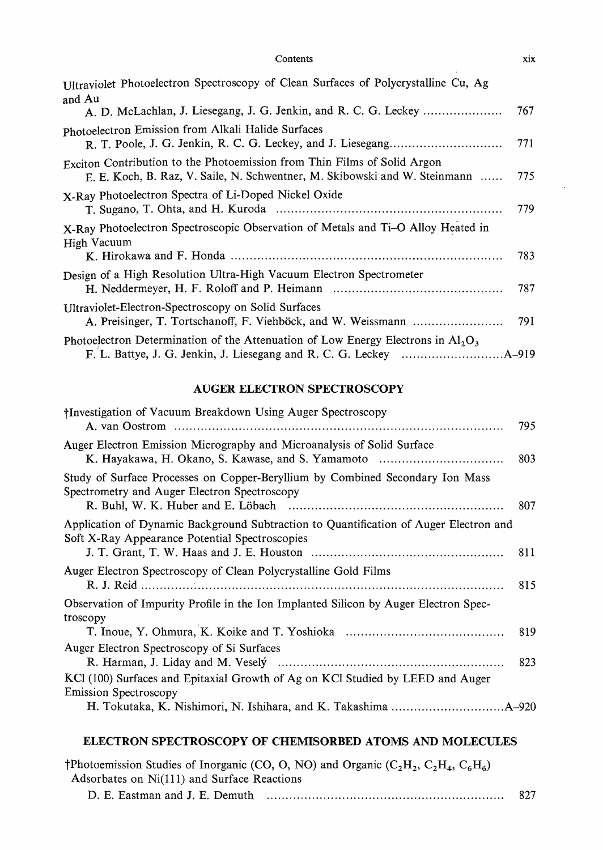| Ultraviolet Photoelectron Spectroscopy of Clean Surfaces of Polycrystalline Cu, Ag                                                                     |     |
|--------------------------------------------------------------------------------------------------------------------------------------------------------|-----|
| and Au                                                                                                                                                 | 767 |
| Photoelectron Emission from Alkali Halide Surfaces                                                                                                     | 771 |
| Exciton Contribution to the Photoemission from Thin Films of Solid Argon<br>E. E. Koch, B. Raz, V. Saile, N. Schwentner, M. Skibowski and W. Steinmann | 775 |
| X-Ray Photoelectron Spectra of Li-Doped Nickel Oxide                                                                                                   | 779 |
| X-Ray Photoelectron Spectroscopic Observation of Metals and Ti-O Alloy Heated in<br>High Vacuum                                                        |     |
|                                                                                                                                                        | 783 |
| Design of a High Resolution Ultra-High Vacuum Electron Spectrometer                                                                                    | 787 |
| Ultraviolet-Electron-Spectroscopy on Solid Surfaces                                                                                                    | 791 |
| Photoelectron Determination of the Attenuation of Low Energy Electrons in $A_1O_3$                                                                     |     |

# AUGER ELECTRON SPECTROSCOPY

| †Investigation of Vacuum Breakdown Using Auger Spectroscopy                                                                             | 795 |
|-----------------------------------------------------------------------------------------------------------------------------------------|-----|
| Auger Electron Emission Micrography and Microanalysis of Solid Surface<br>K. Hayakawa, H. Okano, S. Kawase, and S. Yamamoto             | 803 |
| Study of Surface Processes on Copper-Beryllium by Combined Secondary Ion Mass<br>Spectrometry and Auger Electron Spectroscopy           | 807 |
| Application of Dynamic Background Subtraction to Quantification of Auger Electron and<br>Soft X-Ray Appearance Potential Spectroscopies | 811 |
| Auger Electron Spectroscopy of Clean Polycrystalline Gold Films                                                                         | 815 |
| Observation of Impurity Profile in the Ion Implanted Silicon by Auger Electron Spec-<br>troscopy                                        |     |
|                                                                                                                                         | 819 |
| Auger Electron Spectroscopy of Si Surfaces                                                                                              | 823 |
| KCl (100) Surfaces and Epitaxial Growth of Ag on KCl Studied by LEED and Auger<br><b>Emission Spectroscopy</b>                          |     |
|                                                                                                                                         |     |

### ELECTRON SPECTROSCOPY OF CHEMISORBED ATOMS AND MOLECULES

|                                             | †Photoemission Studies of Inorganic (CO, O, NO) and Organic ( $C_2H_2$ , $C_2H_4$ , $C_6H_6$ ) |     |
|---------------------------------------------|------------------------------------------------------------------------------------------------|-----|
| Adsorbates on Ni(111) and Surface Reactions |                                                                                                |     |
|                                             |                                                                                                | 827 |